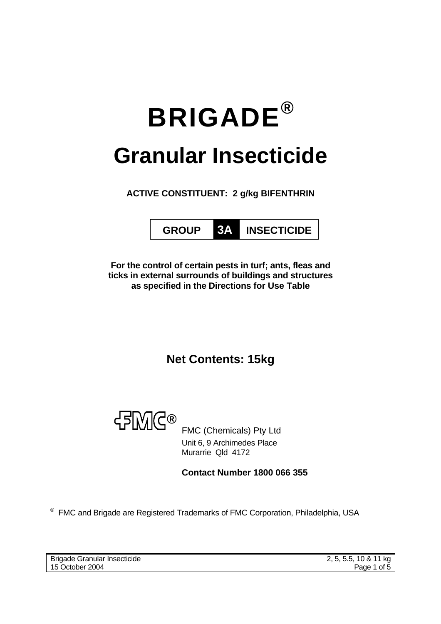# **BRIGADE® Granular Insecticide**

**ACTIVE CONSTITUENT: 2 g/kg BIFENTHRIN** 



**For the control of certain pests in turf; ants, fleas and ticks in external surrounds of buildings and structures as specified in the Directions for Use Table**

**Net Contents: 15kg** 



FMC (Chemicals) Pty Ltd Unit 6, 9 Archimedes Place Murarrie Qld 4172

**Contact Number 1800 066 355**

® FMC and Brigade are Registered Trademarks of FMC Corporation, Philadelphia, USA

Brigade Granular Insecticide 15 October 2004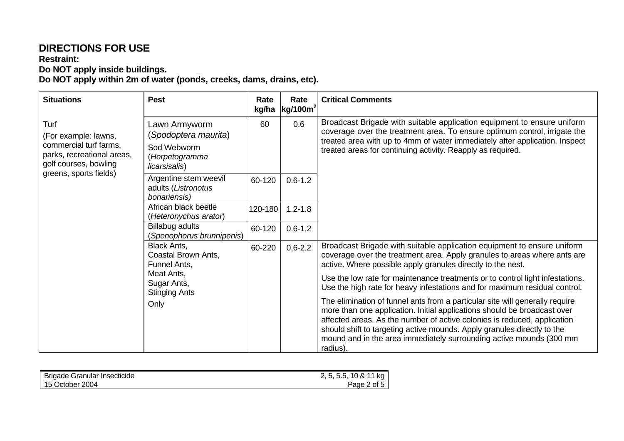## **DIRECTIONS FOR USE**

#### **Restraint: Do NOT apply inside buildings.**

**Do NOT apply within 2m of water (ponds, creeks, dams, drains, etc).** 

| <b>Situations</b>                                                                                                                       | <b>Pest</b>                                                                                                     | Rate<br>kg/ha | Rate<br>kg/100m <sup>2</sup> | <b>Critical Comments</b>                                                                                                                                                                                                                                                                                                                                                                           |
|-----------------------------------------------------------------------------------------------------------------------------------------|-----------------------------------------------------------------------------------------------------------------|---------------|------------------------------|----------------------------------------------------------------------------------------------------------------------------------------------------------------------------------------------------------------------------------------------------------------------------------------------------------------------------------------------------------------------------------------------------|
| Turf<br>(For example: lawns,<br>commercial turf farms,<br>parks, recreational areas,<br>golf courses, bowling<br>greens, sports fields) | Lawn Armyworm<br>(Spodoptera maurita)<br>Sod Webworm<br>(Herpetogramma<br>licarsisalis)                         | 60            | 0.6                          | Broadcast Brigade with suitable application equipment to ensure uniform<br>coverage over the treatment area. To ensure optimum control, irrigate the<br>treated area with up to 4mm of water immediately after application. Inspect<br>treated areas for continuing activity. Reapply as required.                                                                                                 |
|                                                                                                                                         | Argentine stem weevil<br>adults (Listronotus<br>bonariensis)                                                    | 60-120        | $0.6 - 1.2$                  |                                                                                                                                                                                                                                                                                                                                                                                                    |
|                                                                                                                                         | African black beetle<br>(Heteronychus arator)                                                                   | 120-180       | $1.2 - 1.8$                  |                                                                                                                                                                                                                                                                                                                                                                                                    |
|                                                                                                                                         | Billabug adults<br>(Spenophorus brunnipenis)                                                                    | 60-120        | $0.6 - 1.2$                  |                                                                                                                                                                                                                                                                                                                                                                                                    |
|                                                                                                                                         | Black Ants,<br>Coastal Brown Ants,<br>Funnel Ants,<br>Meat Ants,<br>Sugar Ants,<br><b>Stinging Ants</b><br>Only | 60-220        | $0.6 - 2.2$                  | Broadcast Brigade with suitable application equipment to ensure uniform<br>coverage over the treatment area. Apply granules to areas where ants are<br>active. Where possible apply granules directly to the nest.                                                                                                                                                                                 |
|                                                                                                                                         |                                                                                                                 |               |                              | Use the low rate for maintenance treatments or to control light infestations.<br>Use the high rate for heavy infestations and for maximum residual control.                                                                                                                                                                                                                                        |
|                                                                                                                                         |                                                                                                                 |               |                              | The elimination of funnel ants from a particular site will generally require<br>more than one application. Initial applications should be broadcast over<br>affected areas. As the number of active colonies is reduced, application<br>should shift to targeting active mounds. Apply granules directly to the<br>mound and in the area immediately surrounding active mounds (300 mm<br>radius). |

| <b>Brigade Granular Insecticide</b> | 2, 5, 5.5, 10 & 11 kg |
|-------------------------------------|-----------------------|
| 15 October 2004                     | Page 2 of 5           |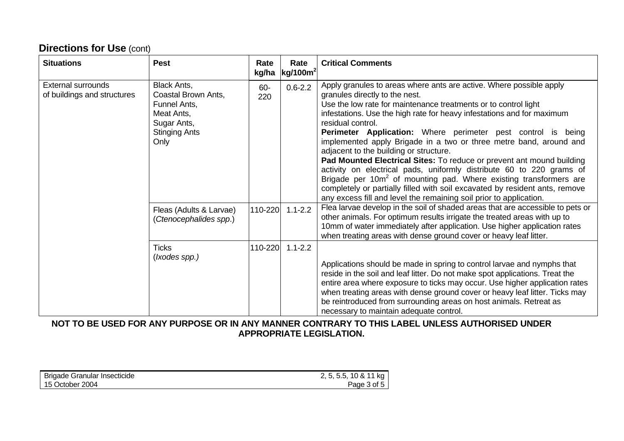# **Directions for Use (cont)**

| <b>Situations</b>                                        | <b>Pest</b>                                                                                                                                | Rate<br>kg/ha         | Rate<br>$\left \frac{\text{kg}}{100m^2}\right $ | <b>Critical Comments</b>                                                                                                                                                                                                                                                                                                                                                                                                                                                                                                                                                                                                                                                                                                                                                                                                                                                                                                         |
|----------------------------------------------------------|--------------------------------------------------------------------------------------------------------------------------------------------|-----------------------|-------------------------------------------------|----------------------------------------------------------------------------------------------------------------------------------------------------------------------------------------------------------------------------------------------------------------------------------------------------------------------------------------------------------------------------------------------------------------------------------------------------------------------------------------------------------------------------------------------------------------------------------------------------------------------------------------------------------------------------------------------------------------------------------------------------------------------------------------------------------------------------------------------------------------------------------------------------------------------------------|
| <b>External surrounds</b><br>of buildings and structures | Black Ants,<br>Coastal Brown Ants,<br>Funnel Ants,<br>Meat Ants,<br>Sugar Ants,<br><b>Stinging Ants</b><br>Only<br>Fleas (Adults & Larvae) | 60-<br>220<br>110-220 | $0.6 - 2.2$<br>$1.1 - 2.2$                      | Apply granules to areas where ants are active. Where possible apply<br>granules directly to the nest.<br>Use the low rate for maintenance treatments or to control light<br>infestations. Use the high rate for heavy infestations and for maximum<br>residual control.<br>Perimeter Application: Where perimeter pest control is being<br>implemented apply Brigade in a two or three metre band, around and<br>adjacent to the building or structure.<br>Pad Mounted Electrical Sites: To reduce or prevent ant mound building<br>activity on electrical pads, uniformly distribute 60 to 220 grams of<br>Brigade per 10m <sup>2</sup> of mounting pad. Where existing transformers are<br>completely or partially filled with soil excavated by resident ants, remove<br>any excess fill and level the remaining soil prior to application.<br>Flea larvae develop in the soil of shaded areas that are accessible to pets or |
|                                                          | (Ctenocephalides spp.)                                                                                                                     |                       |                                                 | other animals. For optimum results irrigate the treated areas with up to<br>10mm of water immediately after application. Use higher application rates<br>when treating areas with dense ground cover or heavy leaf litter.                                                                                                                                                                                                                                                                                                                                                                                                                                                                                                                                                                                                                                                                                                       |
|                                                          | <b>Ticks</b><br>( <i>lxodes spp.)</i>                                                                                                      | 110-220               | $1.1 - 2.2$                                     | Applications should be made in spring to control larvae and nymphs that<br>reside in the soil and leaf litter. Do not make spot applications. Treat the<br>entire area where exposure to ticks may occur. Use higher application rates<br>when treating areas with dense ground cover or heavy leaf litter. Ticks may<br>be reintroduced from surrounding areas on host animals. Retreat as<br>necessary to maintain adequate control.                                                                                                                                                                                                                                                                                                                                                                                                                                                                                           |

### **NOT TO BE USED FOR ANY PURPOSE OR IN ANY MANNER CONTRARY TO THIS LABEL UNLESS AUTHORISED UNDER APPROPRIATE LEGISLATION.**

| Brigade Granular Insecticide | ka<br>10 &<br>∽<br>v. |
|------------------------------|-----------------------|
| 2004<br>October<br>15<br>ີ   | of $5$<br>'age        |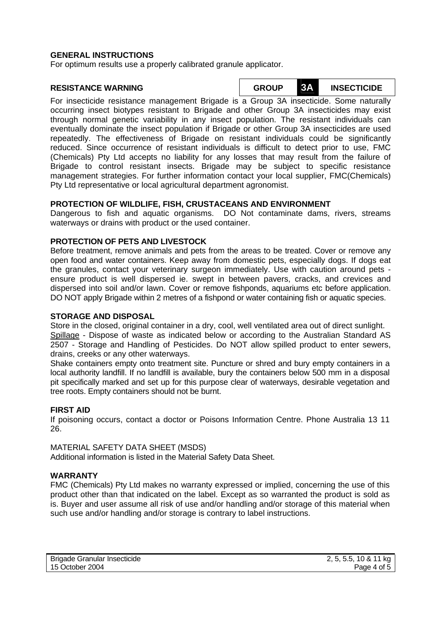#### **GENERAL INSTRUCTIONS**

For optimum results use a properly calibrated granule applicator.

**RESISTANCE WARNING GROUP 3A INSECTICIDE**

For insecticide resistance management Brigade is a Group 3A insecticide. Some naturally occurring insect biotypes resistant to Brigade and other Group 3A insecticides may exist through normal genetic variability in any insect population. The resistant individuals can eventually dominate the insect population if Brigade or other Group 3A insecticides are used repeatedly. The effectiveness of Brigade on resistant individuals could be significantly reduced. Since occurrence of resistant individuals is difficult to detect prior to use, FMC (Chemicals) Pty Ltd accepts no liability for any losses that may result from the failure of Brigade to control resistant insects. Brigade may be subject to specific resistance management strategies. For further information contact your local supplier, FMC(Chemicals) Pty Ltd representative or local agricultural department agronomist.

#### **PROTECTION OF WILDLIFE, FISH, CRUSTACEANS AND ENVIRONMENT**

Dangerous to fish and aquatic organisms. DO Not contaminate dams, rivers, streams waterways or drains with product or the used container.

#### **PROTECTION OF PETS AND LIVESTOCK**

Before treatment, remove animals and pets from the areas to be treated. Cover or remove any open food and water containers. Keep away from domestic pets, especially dogs. If dogs eat the granules, contact your veterinary surgeon immediately. Use with caution around pets ensure product is well dispersed ie. swept in between pavers, cracks, and crevices and dispersed into soil and/or lawn. Cover or remove fishponds, aquariums etc before application. DO NOT apply Brigade within 2 metres of a fishpond or water containing fish or aquatic species.

#### **STORAGE AND DISPOSAL**

Store in the closed, original container in a dry, cool, well ventilated area out of direct sunlight. Spillage - Dispose of waste as indicated below or according to the Australian Standard AS 2507 - Storage and Handling of Pesticides. Do NOT allow spilled product to enter sewers, drains, creeks or any other waterways.

Shake containers empty onto treatment site. Puncture or shred and bury empty containers in a local authority landfill. If no landfill is available, bury the containers below 500 mm in a disposal pit specifically marked and set up for this purpose clear of waterways, desirable vegetation and tree roots. Empty containers should not be burnt.

#### **FIRST AID**

If poisoning occurs, contact a doctor or Poisons Information Centre. Phone Australia 13 11 26.

MATERIAL SAFETY DATA SHEET (MSDS) Additional information is listed in the Material Safety Data Sheet.

#### **WARRANTY**

FMC (Chemicals) Pty Ltd makes no warranty expressed or implied, concerning the use of this product other than that indicated on the label. Except as so warranted the product is sold as is. Buyer and user assume all risk of use and/or handling and/or storage of this material when such use and/or handling and/or storage is contrary to label instructions.